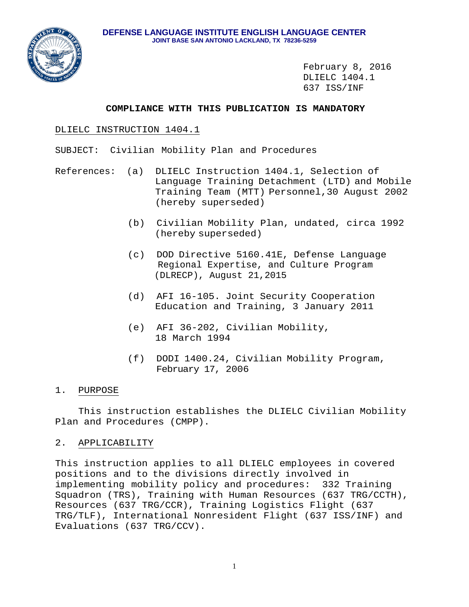

February 8, 2016 DLIELC 1404.1 637 ISS/INF

## **COMPLIANCE WITH THIS PUBLICATION IS MANDATORY**

# DLIELC INSTRUCTION 1404.1

SUBJECT: Civilian Mobility Plan and Procedures

- References: (a) DLIELC Instruction 1404.1, Selection of Language Training Detachment (LTD) and Mobile Training Team (MTT) Personnel,30 August 2002 (hereby superseded)
	- (b) Civilian Mobility Plan, undated, circa 1992 (hereby superseded)
	- (c) DOD Directive 5160.41E, Defense Language Regional Expertise, and Culture Program (DLRECP), August 21,2015
	- (d) AFI 16-105. Joint Security Cooperation Education and Training, 3 January 2011
	- (e) AFI 36-202, Civilian Mobility, 18 March 1994
	- (f) DODI 1400.24, Civilian Mobility Program, February 17, 2006

# 1. PURPOSE

 This instruction establishes the DLIELC Civilian Mobility Plan and Procedures (CMPP).

## 2. APPLICABILITY

This instruction applies to all DLIELC employees in covered positions and to the divisions directly involved in implementing mobility policy and procedures: 332 Training Squadron (TRS), Training with Human Resources (637 TRG/CCTH), Resources (637 TRG/CCR), Training Logistics Flight (637 TRG/TLF), International Nonresident Flight (637 ISS/INF) and Evaluations (637 TRG/CCV).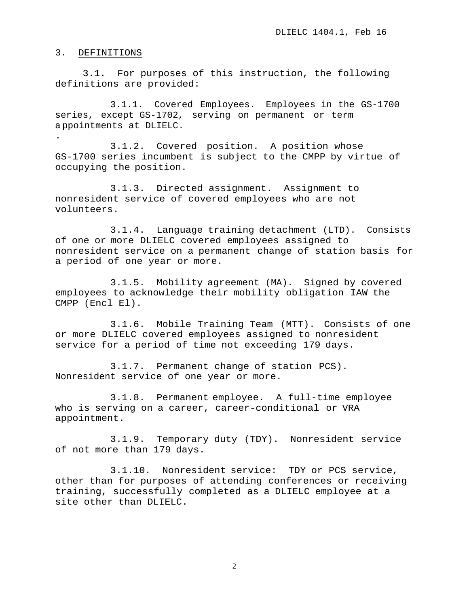#### 3. DEFINITIONS

3.1. For purposes of this instruction, the following definitions are provided:

3.1.1. Covered Employees. Employees in the GS-1700 series, except GS-1702, serving on permanent or term a ppointments at DLIELC.

. 3.1.2. Covered position. A position whose GS-1700 series incumbent is subject to the CMPP by virtue of occupying the position.

3.1.3. Directed assignment. Assignment to nonresident service of covered employees who are not volunteers.

3.1.4. Language training detachment (LTD). Consists of one or more DLIELC covered employees assigned to nonresident service on a permanent change of station basis for a period of one year or more.

3.1.5. Mobility agreement (MA). Signed by covered employees to acknowledge their mobility obligation IAW the CMPP (Encl El).

3.1.6. Mobile Training Team (MTT). Consists of one or more DLIELC covered employees assigned to nonresident service for a period of time not exceeding 179 days.

3.1.7. Permanent change of station PCS). Nonresident service of one year or more.

3.1.8. Permanent employee. A full-time employee who is serving on a career, career-conditional or VRA appointment.

3.1.9. Temporary duty (TDY). Nonresident service of not more than 179 days.

3.1.10. Nonresident service: TDY or PCS service, other than for purposes of attending conferences or receiving training, successfully completed as a DLIELC employee at a site other than DLIELC.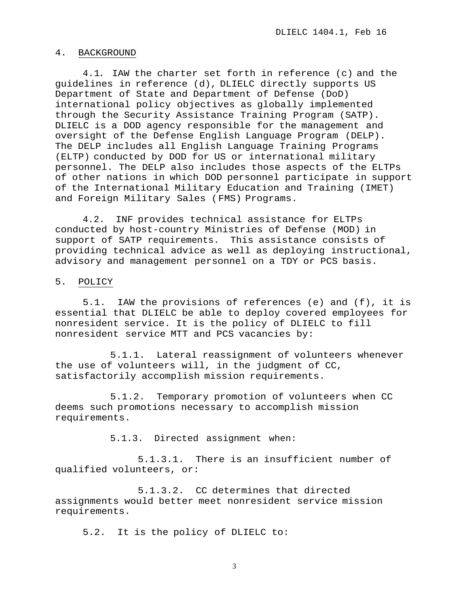#### 4. BACKGROUND

4.1. IAW the charter set forth in reference (c) and the guidelines in reference (d), DLIELC directly supports US Department of State and Department of Defense (DoD) international policy objectives as globally implemented through the Security Assistance Training Program (SATP). DLIELC is a DOD agency responsible for the management and oversight of the Defense English Language Program (DELP). The DELP includes all English Language Training Programs (ELTP) conducted by DOD for US or international military personnel. The DELP also includes those aspects of the ELTPs of other nations in which DOD personnel participate in support of the International Military Education and Training (IMET) and Foreign Military Sales (FMS) Programs.

4.2. INF provides technical assistance for ELTPs conducted by host-country Ministries of Defense (MOD) in support of SATP requirements. This assistance consists of providing technical advice as well as deploying instructional, advisory and management personnel on a TDY or PCS basis.

#### 5. POLICY

5.1. IAW the provisions of references (e) and (f), it is essential that DLIELC be able to deploy covered employees for nonresident service. It is the policy of DLIELC to fill nonresident service MTT and PCS vacancies by:

5.1.1. Lateral reassignment of volunteers whenever the use of volunteers will, in the judgment of CC, satisfactorily accomplish mission requirements.

5.1.2. Temporary promotion of volunteers when CC deems such promotions necessary to accomplish mission requirements.

5.1.3. Directed assignment when:

5.1.3.1. There is an insufficient number of qualified volunteers, or:

5.1.3.2. CC determines that directed assignments would better meet nonresident service mission requirements.

5.2. It is the policy of DLIELC to: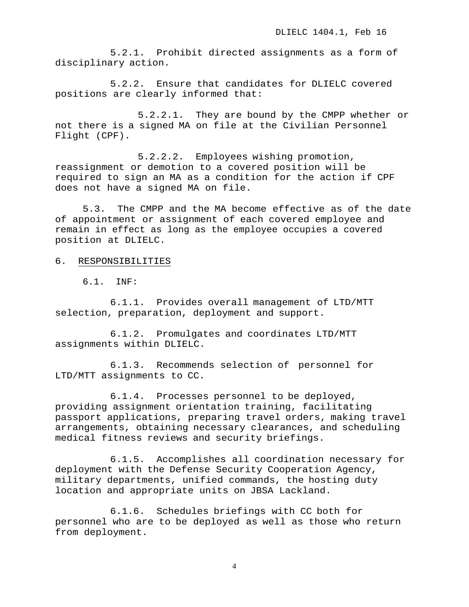5.2.1. Prohibit directed assignments as a form of disciplinary action.

5.2.2. Ensure that candidates for DLIELC covered positions are clearly informed that:

5.2.2.1. They are bound by the CMPP whether or not there is a signed MA on file at the Civilian Personnel Flight (CPF).

5.2.2.2. Employees wishing promotion, reassignment or demotion to a covered position will be required to sign an MA as a condition for the action if CPF does not have a signed MA on file.

5.3. The CMPP and the MA become effective as of the date of appointment or assignment of each covered employee and remain in effect as long as the employee occupies a covered position at DLIELC.

- 6. RESPONSIBILITIES
	- 6.1. INF:

6.1.1. Provides overall management of LTD/MTT selection, preparation, deployment and support.

6.1.2. Promulgates and coordinates LTD/MTT assignments within DLIELC.

6.1.3. Recommends selection of personnel for LTD/MTT assignments to CC.

6.1.4. Processes personnel to be deployed, providing assignment orientation training, facilitating passport applications, preparing travel orders, making travel arrangements, obtaining necessary clearances, and scheduling medical fitness reviews and security briefings.

6.1.5. Accomplishes all coordination necessary for deployment with the Defense Security Cooperation Agency, military departments, unified commands, the hosting duty location and appropriate units on JBSA Lackland.

6.1.6. Schedules briefings with CC both for personnel who are to be deployed as well as those who return from deployment.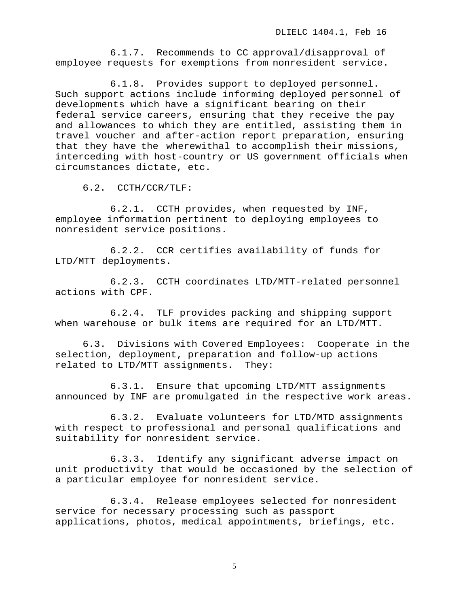6.1.7. Recommends to CC approval/disapproval of employee requests for exemptions from nonresident service.

6.1.8. Provides support to deployed personnel. Such support actions include informing deployed personnel of developments which have a significant bearing on their federal service careers, ensuring that they receive the pay and allowances to which they are entitled, assisting them in travel voucher and after-action report preparation, ensuring that they have the wherewithal to accomplish their missions, interceding with host-country or US government officials when circumstances dictate, etc.

6.2. CCTH/CCR/TLF:

6.2.1. CCTH provides, when requested by INF, employee information pertinent to deploying employees to nonresident service positions.

6.2.2. CCR certifies availability of funds for LTD/MTT deployments.

6.2.3. CCTH coordinates LTD/MTT-related personnel actions with CPF.

6.2.4. TLF provides packing and shipping support when warehouse or bulk items are required for an LTD/MTT.

6.3. Divisions with Covered Employees: Cooperate in the selection, deployment, preparation and follow-up actions related to LTD/MTT assignments. They:

6.3.1. Ensure that upcoming LTD/MTT assignments announced by INF are promulgated in the respective work areas.

6.3.2. Evaluate volunteers for LTD/MTD assignments with respect to professional and personal qualifications and suitability for nonresident service.

6.3.3. Identify any significant adverse impact on unit productivity that would be occasioned by the selection of a particular employee for nonresident service.

6.3.4. Release employees selected for nonresident service for necessary processing such as passport applications, photos, medical appointments, briefings, etc.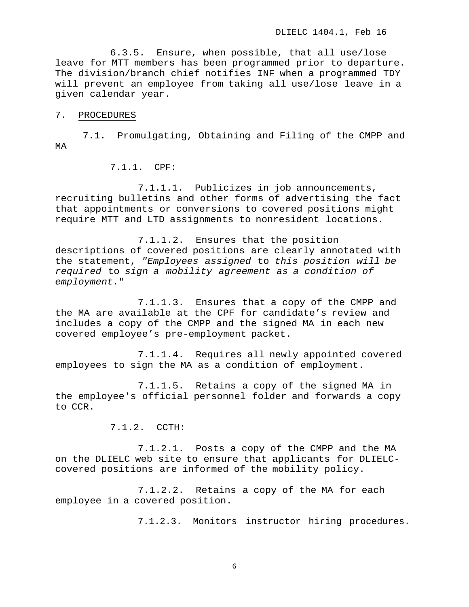6.3.5. Ensure, when possible, that all use/lose leave for MTT members has been programmed prior to departure. The division/branch chief notifies INF when a programmed TDY will prevent an employee from taking all use/lose leave in a given calendar year.

#### 7. PROCEDURES

7.1. Promulgating, Obtaining and Filing of the CMPP and MA

7.1.1. CPF:

7.1.1.1. Publicizes in job announcements, recruiting bulletins and other forms of advertising the fact that appointments or conversions to covered positions might require MTT and LTD assignments to nonresident locations.

7.1.1.2. Ensures that the position descriptions of covered positions are clearly annotated with the statement, *"Employees assigned* to *this position will be required* to *sign a mobility agreement as a condition of employment.*"

7.1.1.3. Ensures that a copy of the CMPP and the MA are available at the CPF for candidate's review and includes a copy of the CMPP and the signed MA in each new covered employee's pre-employment packet.

7.1.1.4. Requires all newly appointed covered employees to sign the MA as a condition of employment.

7.1.1.5. Retains a copy of the signed MA in the employee's official personnel folder and forwards a copy to CCR.

7.1.2. CCTH:

7.1.2.1. Posts a copy of the CMPP and the MA on the DLIELC web site to ensure that applicants for DLIELCcovered positions are informed of the mobility policy.

7.1.2.2. Retains a copy of the MA for each employee in a covered position.

7.1.2.3. Monitors instructor hiring procedures.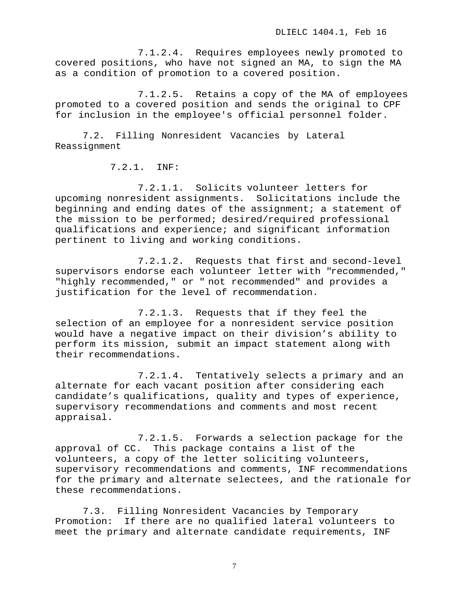7.1.2.4. Requires employees newly promoted to covered positions, who have not signed an MA, to sign the MA as a condition of promotion to a covered position.

7.1.2.5. Retains a copy of the MA of employees promoted to a covered position and sends the original to CPF for inclusion in the employee's official personnel folder.

7.2. Filling Nonresident Vacancies by Lateral Reassignment

7.2.1. INF:

7.2.1.1. Solicits volunteer letters for upcoming nonresident assignments. Solicitations include the beginning and ending dates of the assignment; a statement of the mission to be performed; desired/required professional qualifications and experience; and significant information pertinent to living and working conditions.

7.2.1.2. Requests that first and second-level supervisors endorse each volunteer letter with "recommended," "highly recommended," or " not recommended" and provides a justification for the level of recommendation.

7.2.1.3. Requests that if they feel the selection of an employee for a nonresident service position would have a negative impact on their division's ability to perform its mission, submit an impact statement along with their recommendations.

7.2.1.4. Tentatively selects a primary and an alternate for each vacant position after considering each candidate's qualifications, quality and types of experience, supervisory recommendations and comments and most recent appraisal.

7.2.1.5. Forwards a selection package for the approval of CC. This package contains a list of the volunteers, a copy of the letter soliciting volunteers, supervisory recommendations and comments, INF recommendations for the primary and alternate selectees, and the rationale for these recommendations.

7.3. Filling Nonresident Vacancies by Temporary Promotion: If there are no qualified lateral volunteers to meet the primary and alternate candidate requirements, INF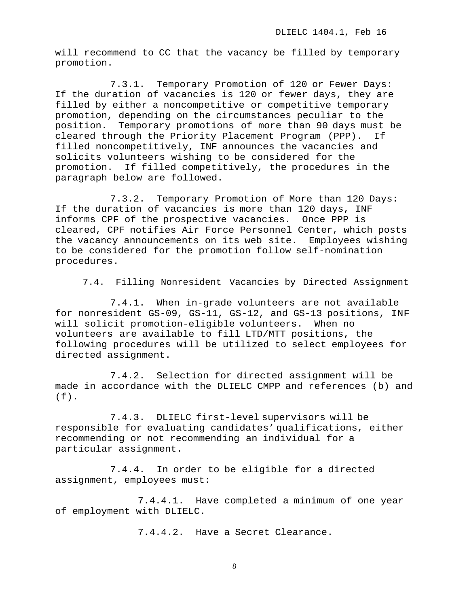will recommend to CC that the vacancy be filled by temporary promotion.

7.3.1. Temporary Promotion of 120 or Fewer Days: If the duration of vacancies is 120 or fewer days, they are filled by either a noncompetitive or competitive temporary promotion, depending on the circumstances peculiar to the position. Temporary promotions of more than 90 days must be<br>cleared through the Priority Placement Program (PPP). If cleared through the Priority Placement Program (PPP). filled noncompetitively, INF announces the vacancies and solicits volunteers wishing to be considered for the promotion. If filled competitively, the procedures in the paragraph below are followed.

7.3.2. Temporary Promotion of More than 120 Days: If the duration of vacancies is more than 120 days, INF informs CPF of the prospective vacancies. Once PPP is cleared, CPF notifies Air Force Personnel Center, which posts the vacancy announcements on its web site. Employees wishing to be considered for the promotion follow self-nomination procedures.

7.4. Filling Nonresident Vacancies by Directed Assignment

7.4.1. When in-grade volunteers are not available for nonresident GS-09, GS-11, GS-12, and GS-13 positions, INF will solicit promotion-eligible volunteers. When no volunteers are available to fill LTD/MTT positions, the following procedures will be utilized to select employees for directed assignment.

7.4.2. Selection for directed assignment will be made in accordance with the DLIELC CMPP and references (b) and (f).

7.4.3. DLIELC first-level supervisors will be responsible for evaluating candidates' qualifications, either recommending or not recommending an individual for a particular assignment.

7.4.4. In order to be eligible for a directed assignment, employees must:

7.4.4.1. Have completed a minimum of one year of employment with DLIELC.

7.4.4.2. Have a Secret Clearance.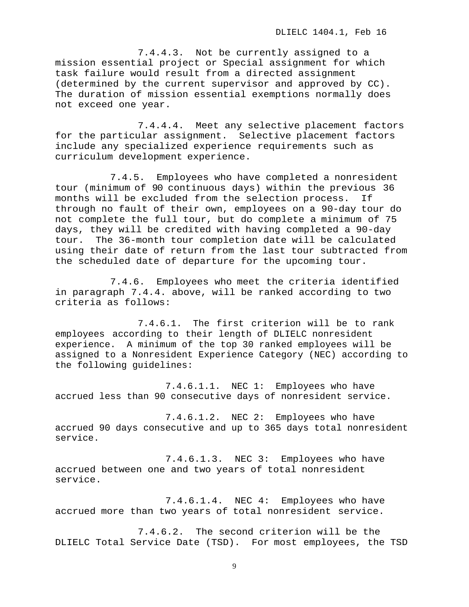7.4.4.3. Not be currently assigned to a mission essential project or Special assignment for which task failure would result from a directed assignment (determined by the current supervisor and approved by CC). The duration of mission essential exemptions normally does not exceed one year.

7.4.4.4. Meet any selective placement factors for the particular assignment. Selective placement factors include any specialized experience requirements such as curriculum development experience.

7.4.5. Employees who have completed a nonresident tour (minimum of 90 continuous days) within the previous 36<br>months will be excluded from the selection process. If months will be excluded from the selection process. through no fault of their own, employees on a 90-day tour do not complete the full tour, but do complete a minimum of 75 days, they will be credited with having completed a 90-day tour. The 36-month tour completion date will be calculated using their date of return from the last tour subtracted from the scheduled date of departure for the upcoming tour.

7.4.6. Employees who meet the criteria identified in paragraph 7.4.4. above, will be ranked according to two criteria as follows:

7.4.6.1. The first criterion will be to rank employees according to their length of DLIELC nonresident experience. A minimum of the top 30 ranked employees will be assigned to a Nonresident Experience Category (NEC) according to the following guidelines:

7.4.6.1.1. NEC 1: Employees who have accrued less than 90 consecutive days of nonresident service.

7.4.6.1.2. NEC 2: Employees who have accrued 90 days consecutive and up to 365 days total nonresident service.

7.4.6.1.3. NEC 3: Employees who have accrued between one and two years of total nonresident service.

7.4.6.1.4. NEC 4: Employees who have accrued more than two years of total nonresident service.

7.4.6.2. The second criterion will be the DLIELC Total Service Date (TSD). For most employees, the TSD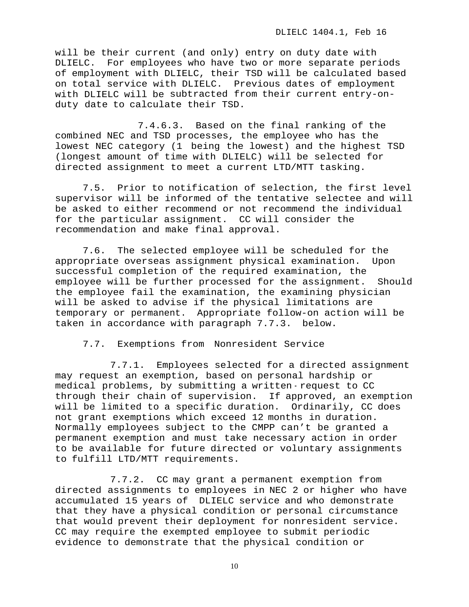will be their current (and only) entry on duty date with<br>DLIELC. For employees who have two or more separate per For employees who have two or more separate periods of employment with DLIELC, their TSD will be calculated based on total service with DLIELC. Previous dates of employment with DLIELC will be subtracted from their current entry-onduty date to calculate their TSD.

7.4.6.3. Based on the final ranking of the combined NEC and TSD processes, the employee who has the lowest NEC category (1 being the lowest) and the highest TSD (longest amount of time with DLIELC) will be selected for directed assignment to meet a current LTD/MTT tasking.

7.5. Prior to notification of selection, the first level supervisor will be informed of the tentative selectee and will be asked to either recommend or not recommend the individual for the particular assignment. CC will consider the recommendation and make final approval.

7.6. The selected employee will be scheduled for the<br>priate overseas assignment physical examination. Upon appropriate overseas assignment physical examination. successful completion of the required examination, the employee will be further processed for the assignment. Should the employee fail the examination, the examining physician will be asked to advise if the physical limitations are temporary or permanent. Appropriate follow-on action will be taken in accordance with paragraph 7.7.3. below.

7.7. Exemptions from Nonresident Service

7.7.1. Employees selected for a directed assignment may request an exemption, based on personal hardship or medical problems, by submitting a written - request to CC through their chain of supervision. If approved, an exemption will be limited to a specific duration. Ordinarily, CC does not grant exemptions which exceed 12 months in duration. Normally employees subject to the CMPP can't be granted a permanent exemption and must take necessary action in order to be available for future directed or voluntary assignments to fulfill LTD/MTT requirements.

7.7.2. CC may grant a permanent exemption from directed assignments to employees in NEC 2 or higher who have accumulated 15 years of DLIELC service and who demonstrate that they have a physical condition or personal circumstance that would prevent their deployment for nonresident service. CC may require the exempted employee to submit periodic evidence to demonstrate that the physical condition or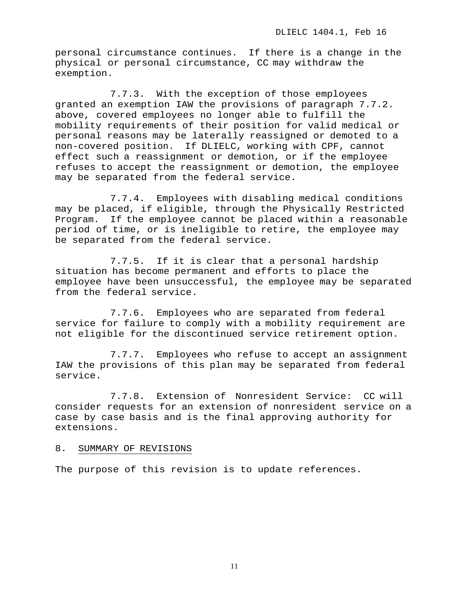personal circumstance continues. If there is a change in the physical or personal circumstance, CC may withdraw the exemption.

7.7.3. With the exception of those employees granted an exemption IAW the provisions of paragraph 7.7.2. above, covered employees no longer able to fulfill the mobility requirements of their position for valid medical or personal reasons may be laterally reassigned or demoted to a non-covered position. If DLIELC, working with CPF, cannot effect such a reassignment or demotion, or if the employee refuses to accept the reassignment or demotion, the employee may be separated from the federal service.

7.7.4. Employees with disabling medical conditions may be placed, if eligible, through the Physically Restricted<br>Program. If the employee cannot be placed within a reasonable If the employee cannot be placed within a reasonable period of time, or is ineligible to retire, the employee may be separated from the federal service.

7.7.5. If it is clear that a personal hardship situation has become permanent and efforts to place the employee have been unsuccessful, the employee may be separated from the federal service.

7.7.6. Employees who are separated from federal service for failure to comply with a mobility requirement are not eligible for the discontinued service retirement option.

7.7.7. Employees who refuse to accept an assignment IAW the provisions of this plan may be separated from federal service.

7.7.8. Extension of Nonresident Service: CC will consider requests for an extension of nonresident service on a case by case basis and is the final approving authority for extensions.

## 8. SUMMARY OF REVISIONS

The purpose of this revision is to update references.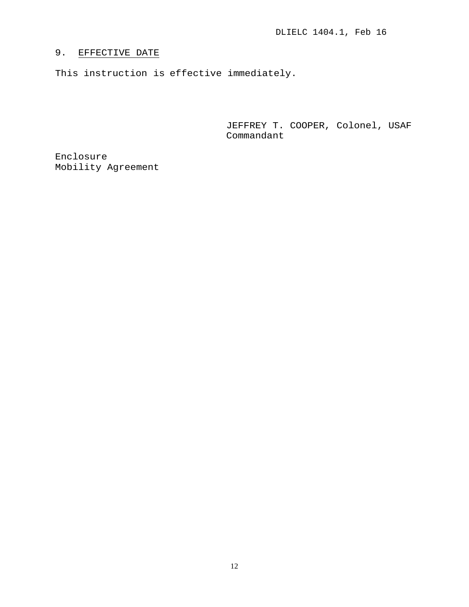# 9. EFFECTIVE DATE

This instruction is effective immediately.

JEFFREY T. COOPER, Colonel, USAF Commandant

Enclosure Mobility Agreement